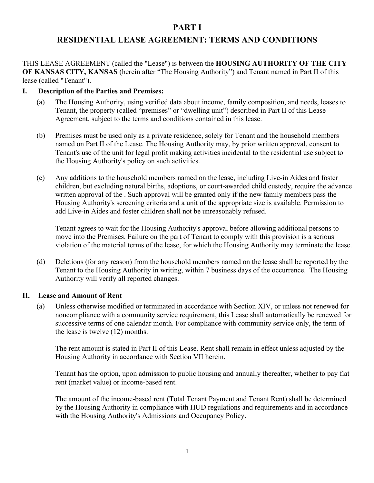# **PART I**

# **RESIDENTIAL LEASE AGREEMENT: TERMS AND CONDITIONS**

THIS LEASE AGREEMENT (called the "Lease") is between the **HOUSING AUTHORITY OF THE CITY OF KANSAS CITY, KANSAS** (herein after "The Housing Authority") and Tenant named in Part II of this lease (called "Tenant").

#### **I. Description of the Parties and Premises:**

- (a) The Housing Authority, using verified data about income, family composition, and needs, leases to Tenant, the property (called "premises" or "dwelling unit") described in Part II of this Lease Agreement, subject to the terms and conditions contained in this lease.
- (b) Premises must be used only as a private residence, solely for Tenant and the household members named on Part II of the Lease. The Housing Authority may, by prior written approval, consent to Tenant's use of the unit for legal profit making activities incidental to the residential use subject to the Housing Authority's policy on such activities.
- (c) Any additions to the household members named on the lease, including Live-in Aides and foster children, but excluding natural births, adoptions, or court-awarded child custody, require the advance written approval of the . Such approval will be granted only if the new family members pass the Housing Authority's screening criteria and a unit of the appropriate size is available. Permission to add Live-in Aides and foster children shall not be unreasonably refused.

Tenant agrees to wait for the Housing Authority's approval before allowing additional persons to move into the Premises. Failure on the part of Tenant to comply with this provision is a serious violation of the material terms of the lease, for which the Housing Authority may terminate the lease.

(d) Deletions (for any reason) from the household members named on the lease shall be reported by the Tenant to the Housing Authority in writing, within 7 business days of the occurrence. The Housing Authority will verify all reported changes.

#### **II. Lease and Amount of Rent**

(a) Unless otherwise modified or terminated in accordance with Section XIV, or unless not renewed for noncompliance with a community service requirement, this Lease shall automatically be renewed for successive terms of one calendar month. For compliance with community service only, the term of the lease is twelve (12) months.

The rent amount is stated in Part II of this Lease. Rent shall remain in effect unless adjusted by the Housing Authority in accordance with Section VII herein.

Tenant has the option, upon admission to public housing and annually thereafter, whether to pay flat rent (market value) or income-based rent.

The amount of the income-based rent (Total Tenant Payment and Tenant Rent) shall be determined by the Housing Authority in compliance with HUD regulations and requirements and in accordance with the Housing Authority's Admissions and Occupancy Policy.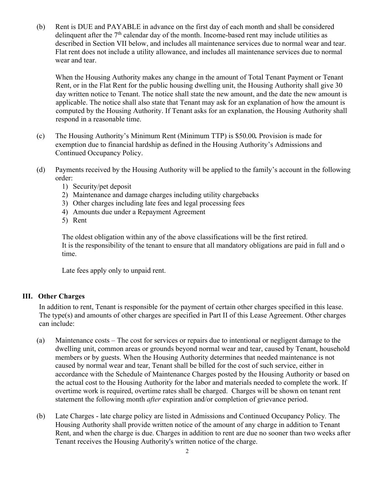(b) Rent is DUE and PAYABLE in advance on the first day of each month and shall be considered delinquent after the  $7<sup>th</sup>$  calendar day of the month. Income-based rent may include utilities as described in Section VII below, and includes all maintenance services due to normal wear and tear. Flat rent does not include a utility allowance, and includes all maintenance services due to normal wear and tear.

When the Housing Authority makes any change in the amount of Total Tenant Payment or Tenant Rent, or in the Flat Rent for the public housing dwelling unit, the Housing Authority shall give 30 day written notice to Tenant. The notice shall state the new amount, and the date the new amount is applicable. The notice shall also state that Tenant may ask for an explanation of how the amount is computed by the Housing Authority. If Tenant asks for an explanation, the Housing Authority shall respond in a reasonable time.

- (c) The Housing Authority's Minimum Rent (Minimum TTP) is \$50.00*.* Provision is made for exemption due to financial hardship as defined in the Housing Authority's Admissions and Continued Occupancy Policy.
- (d) Payments received by the Housing Authority will be applied to the family's account in the following order:
	- 1) Security/pet deposit
	- 2) Maintenance and damage charges including utility chargebacks
	- 3) Other charges including late fees and legal processing fees
	- 4) Amounts due under a Repayment Agreement
	- 5) Rent

The oldest obligation within any of the above classifications will be the first retired. It is the responsibility of the tenant to ensure that all mandatory obligations are paid in full and o time.

Late fees apply only to unpaid rent.

#### **III. Other Charges**

In addition to rent, Tenant is responsible for the payment of certain other charges specified in this lease. The type(s) and amounts of other charges are specified in Part II of this Lease Agreement. Other charges can include:

- (a) Maintenance costs The cost for services or repairs due to intentional or negligent damage to the dwelling unit, common areas or grounds beyond normal wear and tear, caused by Tenant, household members or by guests. When the Housing Authority determines that needed maintenance is not caused by normal wear and tear, Tenant shall be billed for the cost of such service, either in accordance with the Schedule of Maintenance Charges posted by the Housing Authority or based on the actual cost to the Housing Authority for the labor and materials needed to complete the work. If overtime work is required, overtime rates shall be charged. Charges will be shown on tenant rent statement the following month *after* expiration and/or completion of grievance period.
- (b) Late Charges late charge policy are listed in Admissions and Continued Occupancy Policy*.* The Housing Authority shall provide written notice of the amount of any charge in addition to Tenant Rent, and when the charge is due. Charges in addition to rent are due no sooner than two weeks after Tenant receives the Housing Authority's written notice of the charge.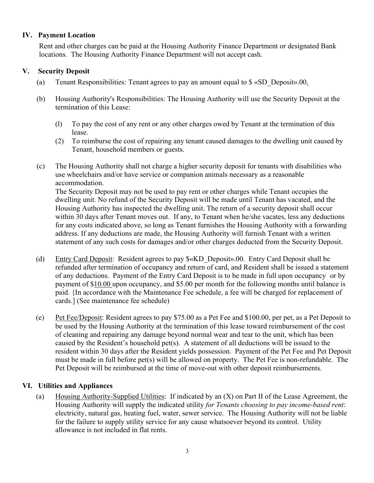#### **IV. Payment Location**

Rent and other charges can be paid at the Housing Authority Finance Department or designated Bank locations. The Housing Authority Finance Department will not accept cash.

#### **V. Security Deposit**

- (a) Tenant Responsibilities: Tenant agrees to pay an amount equal to \$ «SD\_Deposit».00.
- (b) Housing Authority's Responsibilities: The Housing Authority will use the Security Deposit at the termination of this Lease:
	- (l) To pay the cost of any rent or any other charges owed by Tenant at the termination of this lease.
	- (2) To reimburse the cost of repairing any tenant caused damages to the dwelling unit caused by Tenant, household members or guests.
- (c) The Housing Authority shall not charge a higher security deposit for tenants with disabilities who use wheelchairs and/or have service or companion animals necessary as a reasonable accommodation.

The Security Deposit may not be used to pay rent or other charges while Tenant occupies the dwelling unit. No refund of the Security Deposit will be made until Tenant has vacated, and the Housing Authority has inspected the dwelling unit. The return of a security deposit shall occur within 30 days after Tenant moves out. If any, to Tenant when he/she vacates, less any deductions for any costs indicated above, so long as Tenant furnishes the Housing Authority with a forwarding address. If any deductions are made, the Housing Authority will furnish Tenant with a written statement of any such costs for damages and/or other charges deducted from the Security Deposit.

- (d) Entry Card Deposit: Resident agrees to pay \$«KD\_Deposit».00. Entry Card Deposit shall be refunded after termination of occupancy and return of card, and Resident shall be issued a statement of any deductions. Payment of the Entry Card Deposit is to be made in full upon occupancy or by payment of \$10.00 upon occupancy, and \$5.00 per month for the following months until balance is paid. {In accordance with the Maintenance Fee schedule, a fee will be charged for replacement of cards.] (See maintenance fee schedule)
- (e) Pet Fee/Deposit: Resident agrees to pay \$75.00 as a Pet Fee and \$100.00, per pet, as a Pet Deposit to be used by the Housing Authority at the termination of this lease toward reimbursement of the cost of cleaning and repairing any damage beyond normal wear and tear to the unit, which has been caused by the Resident's household pet(s). A statement of all deductions will be issued to the resident within 30 days after the Resident yields possession. Payment of the Pet Fee and Pet Deposit must be made in full before pet(s) will be allowed on property. The Pet Fee is non-refundable. The Pet Deposit will be reimbursed at the time of move-out with other deposit reimbursements.

### **VI. Utilities and Appliances**

(a) Housing Authority-Supplied Utilities: If indicated by an (X) on Part II of the Lease Agreement, the Housing Authority will supply the indicated utility *for Tenants choosing to pay income-based rent*: electricity, natural gas, heating fuel, water, sewer service. The Housing Authority will not be liable for the failure to supply utility service for any cause whatsoever beyond its control. Utility allowance is not included in flat rents.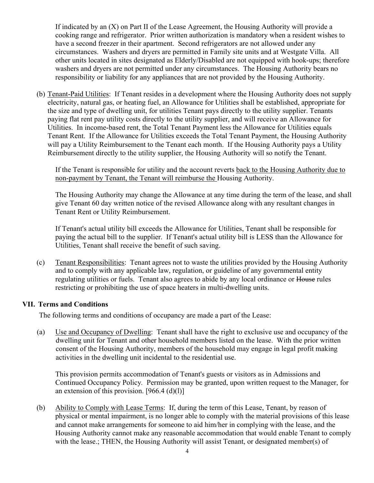If indicated by an (X) on Part II of the Lease Agreement, the Housing Authority will provide a cooking range and refrigerator. Prior written authorization is mandatory when a resident wishes to have a second freezer in their apartment. Second refrigerators are not allowed under any circumstances. Washers and dryers are permitted in Family site units and at Westgate Villa. All other units located in sites designated as Elderly/Disabled are not equipped with hook-ups; therefore washers and dryers are not permitted under any circumstances. The Housing Authority bears no responsibility or liability for any appliances that are not provided by the Housing Authority.

(b) Tenant-Paid Utilities: If Tenant resides in a development where the Housing Authority does not supply electricity, natural gas, or heating fuel, an Allowance for Utilities shall be established, appropriate for the size and type of dwelling unit, for utilities Tenant pays directly to the utility supplier. Tenants paying flat rent pay utility costs directly to the utility supplier, and will receive an Allowance for Utilities. In income-based rent, the Total Tenant Payment less the Allowance for Utilities equals Tenant Rent. If the Allowance for Utilities exceeds the Total Tenant Payment, the Housing Authority will pay a Utility Reimbursement to the Tenant each month. If the Housing Authority pays a Utility Reimbursement directly to the utility supplier, the Housing Authority will so notify the Tenant.

If the Tenant is responsible for utility and the account reverts back to the Housing Authority due to non-payment by Tenant, the Tenant will reimburse the Housing Authority.

The Housing Authority may change the Allowance at any time during the term of the lease, and shall give Tenant 60 day written notice of the revised Allowance along with any resultant changes in Tenant Rent or Utility Reimbursement.

If Tenant's actual utility bill exceeds the Allowance for Utilities, Tenant shall be responsible for paying the actual bill to the supplier. If Tenant's actual utility bill is LESS than the Allowance for Utilities, Tenant shall receive the benefit of such saving.

(c) Tenant Responsibilities: Tenant agrees not to waste the utilities provided by the Housing Authority and to comply with any applicable law, regulation, or guideline of any governmental entity regulating utilities or fuels. Tenant also agrees to abide by any local ordinance or House rules restricting or prohibiting the use of space heaters in multi-dwelling units.

### **VII. Terms and Conditions**

The following terms and conditions of occupancy are made a part of the Lease:

(a) Use and Occupancy of Dwelling: Tenant shall have the right to exclusive use and occupancy of the dwelling unit for Tenant and other household members listed on the lease. With the prior written consent of the Housing Authority, members of the household may engage in legal profit making activities in the dwelling unit incidental to the residential use.

This provision permits accommodation of Tenant's guests or visitors as in Admissions and Continued Occupancy Policy*.* Permission may be granted, upon written request to the Manager, for an extension of this provision.  $[966.4 \text{ (d)}(1)]$ 

(b) Ability to Comply with Lease Terms: If, during the term of this Lease, Tenant, by reason of physical or mental impairment, is no longer able to comply with the material provisions of this lease and cannot make arrangements for someone to aid him/her in complying with the lease, and the Housing Authority cannot make any reasonable accommodation that would enable Tenant to comply with the lease.; THEN, the Housing Authority will assist Tenant, or designated member(s) of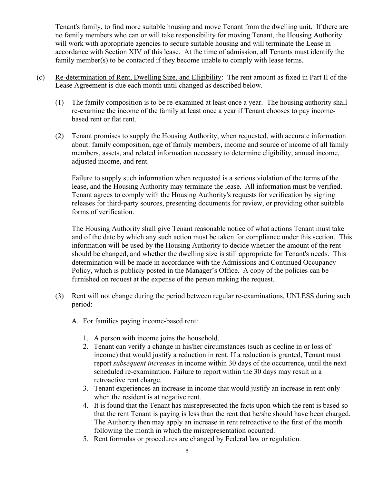Tenant's family, to find more suitable housing and move Tenant from the dwelling unit. If there are no family members who can or will take responsibility for moving Tenant, the Housing Authority will work with appropriate agencies to secure suitable housing and will terminate the Lease in accordance with Section XIV of this lease. At the time of admission, all Tenants must identify the family member(s) to be contacted if they become unable to comply with lease terms.

- (c) Re-determination of Rent, Dwelling Size, and Eligibility: The rent amount as fixed in Part II of the Lease Agreement is due each month until changed as described below.
	- (1) The family composition is to be re-examined at least once a year. The housing authority shall re-examine the income of the family at least once a year if Tenant chooses to pay incomebased rent or flat rent.
	- (2) Tenant promises to supply the Housing Authority, when requested, with accurate information about: family composition, age of family members, income and source of income of all family members, assets, and related information necessary to determine eligibility, annual income, adjusted income, and rent.

Failure to supply such information when requested is a serious violation of the terms of the lease, and the Housing Authority may terminate the lease. All information must be verified. Tenant agrees to comply with the Housing Authority's requests for verification by signing releases for third-party sources, presenting documents for review, or providing other suitable forms of verification.

The Housing Authority shall give Tenant reasonable notice of what actions Tenant must take and of the date by which any such action must be taken for compliance under this section. This information will be used by the Housing Authority to decide whether the amount of the rent should be changed, and whether the dwelling size is still appropriate for Tenant's needs. This determination will be made in accordance with the Admissions and Continued Occupancy Policy, which is publicly posted in the Manager's Office. A copy of the policies can be furnished on request at the expense of the person making the request.

- (3) Rent will not change during the period between regular re-examinations, UNLESS during such period:
	- A. For families paying income-based rent:
		- 1. A person with income joins the household.
		- 2. Tenant can verify a change in his/her circumstances (such as decline in or loss of income) that would justify a reduction in rent. If a reduction is granted, Tenant must report *subsequent increases* in income within 30 days of the occurrence, until the next scheduled re-examination. Failure to report within the 30 days may result in a retroactive rent charge.
		- 3. Tenant experiences an increase in income that would justify an increase in rent only when the resident is at negative rent.
		- 4. It is found that the Tenant has misrepresented the facts upon which the rent is based so that the rent Tenant is paying is less than the rent that he/she should have been charged. The Authority then may apply an increase in rent retroactive to the first of the month following the month in which the misrepresentation occurred.
		- 5. Rent formulas or procedures are changed by Federal law or regulation.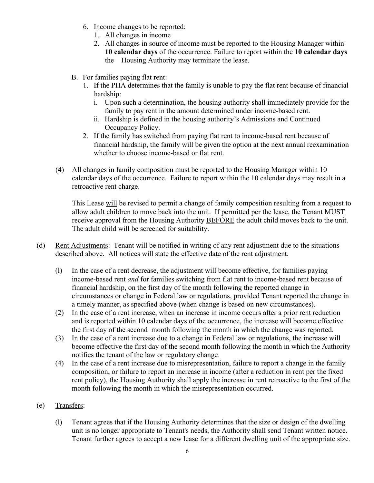- 6. Income changes to be reported:
	- 1. All changes in income
	- 2. All changes in source of income must be reported to the Housing Manager within **10 calendar days** of the occurrence. Failure to report within the **10 calendar days** the Housing Authority may terminate the lease.
- B. For families paying flat rent:
	- 1. If the PHA determines that the family is unable to pay the flat rent because of financial hardship:
		- i. Upon such a determination, the housing authority shall immediately provide for the family to pay rent in the amount determined under income-based rent.
		- ii. Hardship is defined in the housing authority's Admissions and Continued Occupancy Policy.
	- 2. If the family has switched from paying flat rent to income-based rent because of financial hardship, the family will be given the option at the next annual reexamination whether to choose income-based or flat rent.
- (4) All changes in family composition must be reported to the Housing Manager within 10 calendar days of the occurrence. Failure to report within the 10 calendar days may result in a retroactive rent charge.

This Lease will be revised to permit a change of family composition resulting from a request to allow adult children to move back into the unit. If permitted per the lease, the Tenant MUST receive approval from the Housing Authority BEFORE the adult child moves back to the unit. The adult child will be screened for suitability.

- (d) Rent Adjustments: Tenant will be notified in writing of any rent adjustment due to the situations described above. All notices will state the effective date of the rent adjustment.
	- (l) In the case of a rent decrease, the adjustment will become effective, for families paying income-based rent *and* for families switching from flat rent to income-based rent because of financial hardship, on the first day of the month following the reported change in circumstances or change in Federal law or regulations, provided Tenant reported the change in a timely manner, as specified above (when change is based on new circumstances).
	- (2) In the case of a rent increase, when an increase in income occurs after a prior rent reduction and is reported within 10 calendar days of the occurrence, the increase will become effective the first day of the second month following the month in which the change was reported.
	- (3) In the case of a rent increase due to a change in Federal law or regulations, the increase will become effective the first day of the second month following the month in which the Authority notifies the tenant of the law or regulatory change.
	- (4) In the case of a rent increase due to misrepresentation, failure to report a change in the family composition, or failure to report an increase in income (after a reduction in rent per the fixed rent policy), the Housing Authority shall apply the increase in rent retroactive to the first of the month following the month in which the misrepresentation occurred.

## (e) Transfers:

(l) Tenant agrees that if the Housing Authority determines that the size or design of the dwelling unit is no longer appropriate to Tenant's needs, the Authority shall send Tenant written notice. Tenant further agrees to accept a new lease for a different dwelling unit of the appropriate size.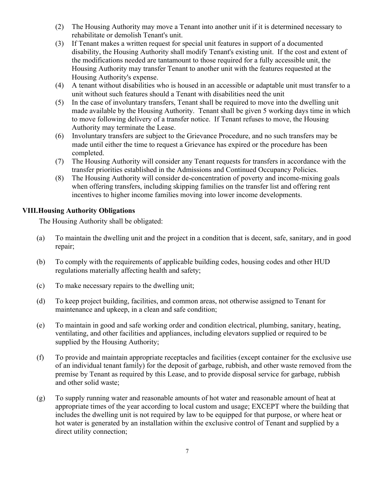- (2) The Housing Authority may move a Tenant into another unit if it is determined necessary to rehabilitate or demolish Tenant's unit.
- (3) If Tenant makes a written request for special unit features in support of a documented disability, the Housing Authority shall modify Tenant's existing unit. If the cost and extent of the modifications needed are tantamount to those required for a fully accessible unit, the Housing Authority may transfer Tenant to another unit with the features requested at the Housing Authority's expense.
- (4) A tenant without disabilities who is housed in an accessible or adaptable unit must transfer to a unit without such features should a Tenant with disabilities need the unit
- (5) In the case of involuntary transfers, Tenant shall be required to move into the dwelling unit made available by the Housing Authority. Tenant shall be given 5 working days time in which to move following delivery of a transfer notice. If Tenant refuses to move, the Housing Authority may terminate the Lease.
- (6) Involuntary transfers are subject to the Grievance Procedure, and no such transfers may be made until either the time to request a Grievance has expired or the procedure has been completed.
- (7) The Housing Authority will consider any Tenant requests for transfers in accordance with the transfer priorities established in the Admissions and Continued Occupancy Policies.
- (8) The Housing Authority will consider de-concentration of poverty and income-mixing goals when offering transfers, including skipping families on the transfer list and offering rent incentives to higher income families moving into lower income developments.

### **VIII.Housing Authority Obligations**

The Housing Authority shall be obligated:

- (a) To maintain the dwelling unit and the project in a condition that is decent, safe, sanitary, and in good repair;
- (b) To comply with the requirements of applicable building codes, housing codes and other HUD regulations materially affecting health and safety;
- (c) To make necessary repairs to the dwelling unit;
- (d) To keep project building, facilities, and common areas, not otherwise assigned to Tenant for maintenance and upkeep, in a clean and safe condition;
- (e) To maintain in good and safe working order and condition electrical, plumbing, sanitary, heating, ventilating, and other facilities and appliances, including elevators supplied or required to be supplied by the Housing Authority;
- (f) To provide and maintain appropriate receptacles and facilities (except container for the exclusive use of an individual tenant family) for the deposit of garbage, rubbish, and other waste removed from the premise by Tenant as required by this Lease, and to provide disposal service for garbage, rubbish and other solid waste;
- (g) To supply running water and reasonable amounts of hot water and reasonable amount of heat at appropriate times of the year according to local custom and usage; EXCEPT where the building that includes the dwelling unit is not required by law to be equipped for that purpose, or where heat or hot water is generated by an installation within the exclusive control of Tenant and supplied by a direct utility connection;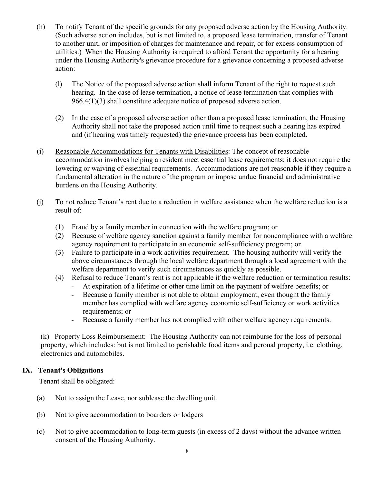- (h) To notify Tenant of the specific grounds for any proposed adverse action by the Housing Authority. (Such adverse action includes, but is not limited to, a proposed lease termination, transfer of Tenant to another unit, or imposition of charges for maintenance and repair, or for excess consumption of utilities.) When the Housing Authority is required to afford Tenant the opportunity for a hearing under the Housing Authority's grievance procedure for a grievance concerning a proposed adverse action:
	- (l) The Notice of the proposed adverse action shall inform Tenant of the right to request such hearing. In the case of lease termination, a notice of lease termination that complies with 966.4(1)(3) shall constitute adequate notice of proposed adverse action.
	- (2) In the case of a proposed adverse action other than a proposed lease termination, the Housing Authority shall not take the proposed action until time to request such a hearing has expired and (if hearing was timely requested) the grievance process has been completed.
- (i) Reasonable Accommodations for Tenants with Disabilities: The concept of reasonable accommodation involves helping a resident meet essential lease requirements; it does not require the lowering or waiving of essential requirements. Accommodations are not reasonable if they require a fundamental alteration in the nature of the program or impose undue financial and administrative burdens on the Housing Authority.
- (j) To not reduce Tenant's rent due to a reduction in welfare assistance when the welfare reduction is a result of:
	- (1) Fraud by a family member in connection with the welfare program; or
	- (2) Because of welfare agency sanction against a family member for noncompliance with a welfare agency requirement to participate in an economic self-sufficiency program; or
	- (3) Failure to participate in a work activities requirement. The housing authority will verify the above circumstances through the local welfare department through a local agreement with the welfare department to verify such circumstances as quickly as possible.
	- (4) Refusal to reduce Tenant's rent is not applicable if the welfare reduction or termination results:
		- At expiration of a lifetime or other time limit on the payment of welfare benefits; or
		- Because a family member is not able to obtain employment, even thought the family member has complied with welfare agency economic self-sufficiency or work activities requirements; or
		- Because a family member has not complied with other welfare agency requirements.

(k) Property Loss Reimbursement: The Housing Authority can not reimburse for the loss of personal property, which includes: but is not limited to perishable food items and peronal property, i.e. clothing, electronics and automobiles.

### **IX. Tenant's Obligations**

Tenant shall be obligated:

- (a) Not to assign the Lease, nor sublease the dwelling unit.
- (b) Not to give accommodation to boarders or lodgers
- (c) Not to give accommodation to long-term guests (in excess of 2 days) without the advance written consent of the Housing Authority.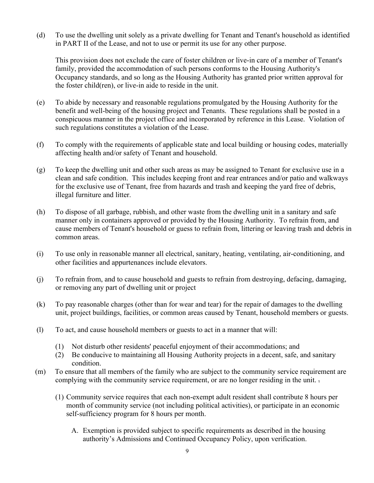(d) To use the dwelling unit solely as a private dwelling for Tenant and Tenant's household as identified in PART II of the Lease, and not to use or permit its use for any other purpose.

This provision does not exclude the care of foster children or live-in care of a member of Tenant's family, provided the accommodation of such persons conforms to the Housing Authority's Occupancy standards, and so long as the Housing Authority has granted prior written approval for the foster child(ren), or live-in aide to reside in the unit.

- (e) To abide by necessary and reasonable regulations promulgated by the Housing Authority for the benefit and well-being of the housing project and Tenants. These regulations shall be posted in a conspicuous manner in the project office and incorporated by reference in this Lease. Violation of such regulations constitutes a violation of the Lease.
- (f) To comply with the requirements of applicable state and local building or housing codes, materially affecting health and/or safety of Tenant and household.
- (g) To keep the dwelling unit and other such areas as may be assigned to Tenant for exclusive use in a clean and safe condition. This includes keeping front and rear entrances and/or patio and walkways for the exclusive use of Tenant, free from hazards and trash and keeping the yard free of debris, illegal furniture and litter.
- (h) To dispose of all garbage, rubbish, and other waste from the dwelling unit in a sanitary and safe manner only in containers approved or provided by the Housing Authority. To refrain from, and cause members of Tenant's household or guess to refrain from, littering or leaving trash and debris in common areas.
- (i) To use only in reasonable manner all electrical, sanitary, heating, ventilating, air-conditioning, and other facilities and appurtenances include elevators.
- (j) To refrain from, and to cause household and guests to refrain from destroying, defacing, damaging, or removing any part of dwelling unit or project
- (k) To pay reasonable charges (other than for wear and tear) for the repair of damages to the dwelling unit, project buildings, facilities, or common areas caused by Tenant, household members or guests.
- (l) To act, and cause household members or guests to act in a manner that will:
	- (1) Not disturb other residents' peaceful enjoyment of their accommodations; and
	- (2) Be conducive to maintaining all Housing Authority projects in a decent, safe, and sanitary condition.
- (m) To ensure that all members of the family who are subject to the community service requirement are complying with the community service requirement, or are no longer residing in the unit. .
	- (1) Community service requires that each non-exempt adult resident shall contribute 8 hours per month of community service (not including political activities), or participate in an economic self-sufficiency program for 8 hours per month.
		- A. Exemption is provided subject to specific requirements as described in the housing authority's Admissions and Continued Occupancy Policy, upon verification.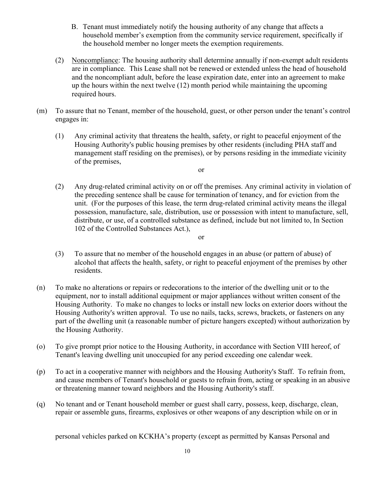- B. Tenant must immediately notify the housing authority of any change that affects a household member's exemption from the community service requirement, specifically if the household member no longer meets the exemption requirements.
- (2) Noncompliance: The housing authority shall determine annually if non-exempt adult residents are in compliance. This Lease shall not be renewed or extended unless the head of household and the noncompliant adult, before the lease expiration date, enter into an agreement to make up the hours within the next twelve (12) month period while maintaining the upcoming required hours.
- (m) To assure that no Tenant, member of the household, guest, or other person under the tenant's control engages in:
	- (1) Any criminal activity that threatens the health, safety, or right to peaceful enjoyment of the Housing Authority's public housing premises by other residents (including PHA staff and management staff residing on the premises), or by persons residing in the immediate vicinity of the premises,

or

- (2) Any drug-related criminal activity on or off the premises. Any criminal activity in violation of the preceding sentence shall be cause for termination of tenancy, and for eviction from the unit. (For the purposes of this lease, the term drug-related criminal activity means the illegal possession, manufacture, sale, distribution, use or possession with intent to manufacture, sell, distribute, or use, of a controlled substance as defined, include but not limited to, In Section 102 of the Controlled Substances Act.),
- (3) To assure that no member of the household engages in an abuse (or pattern of abuse) of alcohol that affects the health, safety, or right to peaceful enjoyment of the premises by other residents.

or

- (n) To make no alterations or repairs or redecorations to the interior of the dwelling unit or to the equipment, nor to install additional equipment or major appliances without written consent of the Housing Authority. To make no changes to locks or install new locks on exterior doors without the Housing Authority's written approval. To use no nails, tacks, screws, brackets, or fasteners on any part of the dwelling unit (a reasonable number of picture hangers excepted) without authorization by the Housing Authority.
- (o) To give prompt prior notice to the Housing Authority, in accordance with Section VIII hereof, of Tenant's leaving dwelling unit unoccupied for any period exceeding one calendar week.
- (p) To act in a cooperative manner with neighbors and the Housing Authority's Staff. To refrain from, and cause members of Tenant's household or guests to refrain from, acting or speaking in an abusive or threatening manner toward neighbors and the Housing Authority's staff.
- (q) No tenant and or Tenant household member or guest shall carry, possess, keep, discharge, clean, repair or assemble guns, firearms, explosives or other weapons of any description while on or in

personal vehicles parked on KCKHA's property (except as permitted by Kansas Personal and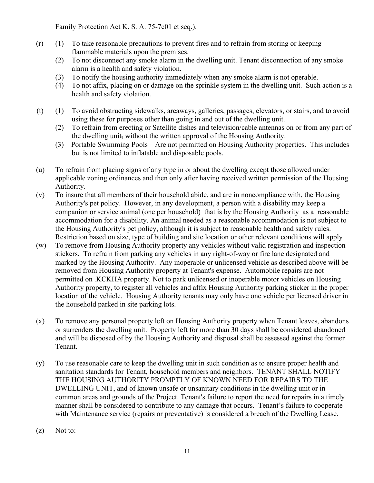Family Protection Act K. S. A. 75-7c01 et seq.).

- (r) (1) To take reasonable precautions to prevent fires and to refrain from storing or keeping flammable materials upon the premises.
	- (2) To not disconnect any smoke alarm in the dwelling unit. Tenant disconnection of any smoke alarm is a health and safety violation.
	- (3) To notify the housing authority immediately when any smoke alarm is not operable.
	- (4) To not affix, placing on or damage on the sprinkle system in the dwelling unit. Such action is a health and safety violation.
- (t) (1) To avoid obstructing sidewalks, areaways, galleries, passages, elevators, or stairs, and to avoid using these for purposes other than going in and out of the dwelling unit.
	- (2) To refrain from erecting or Satellite dishes and television/cable antennas on or from any part of the dwelling unit, without the written approval of the Housing Authority.
	- (3) Portable Swimming Pools Are not permitted on Housing Authority properties. This includes but is not limited to inflatable and disposable pools.
- (u) To refrain from placing signs of any type in or about the dwelling except those allowed under applicable zoning ordinances and then only after having received written permission of the Housing Authority.
- (v) To insure that all members of their household abide, and are in noncompliance with, the Housing Authority's pet policy. However, in any development, a person with a disability may keep a companion or service animal (one per household) that is by the Housing Authority as a reasonable accommodation for a disability. An animal needed as a reasonable accommodation is not subject to the Housing Authority's pet policy, although it is subject to reasonable health and safety rules. Restriction based on size, type of building and site location or other relevant conditions will apply
- (w) To remove from Housing Authority property any vehicles without valid registration and inspection stickers. To refrain from parking any vehicles in any right-of-way or fire lane designated and marked by the Housing Authority. Any inoperable or unlicensed vehicle as described above will be removed from Housing Authority property at Tenant's expense. Automobile repairs are not permitted on .KCKHA property. Not to park unlicensed or inoperable motor vehicles on Housing Authority property, to register all vehicles and affix Housing Authority parking sticker in the proper location of the vehicle. Housing Authority tenants may only have one vehicle per licensed driver in the household parked in site parking lots.
- (x) To remove any personal property left on Housing Authority property when Tenant leaves, abandons or surrenders the dwelling unit. Property left for more than 30 days shall be considered abandoned and will be disposed of by the Housing Authority and disposal shall be assessed against the former Tenant.
- (y) To use reasonable care to keep the dwelling unit in such condition as to ensure proper health and sanitation standards for Tenant, household members and neighbors. TENANT SHALL NOTIFY THE HOUSING AUTHORITY PROMPTLY OF KNOWN NEED FOR REPAIRS TO THE DWELLING UNIT, and of known unsafe or unsanitary conditions in the dwelling unit or in common areas and grounds of the Project. Tenant's failure to report the need for repairs in a timely manner shall be considered to contribute to any damage that occurs. Tenant's failure to cooperate with Maintenance service (repairs or preventative) is considered a breach of the Dwelling Lease.
- (z) Not to: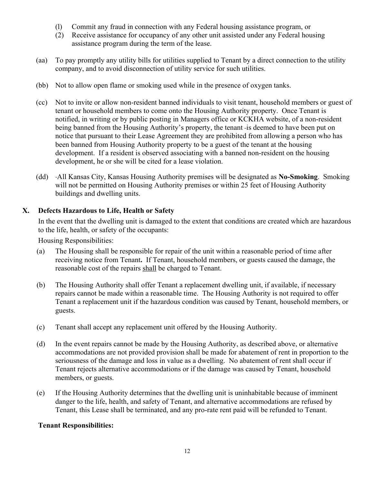- (l) Commit any fraud in connection with any Federal housing assistance program, or
- (2) Receive assistance for occupancy of any other unit assisted under any Federal housing assistance program during the term of the lease.
- (aa) To pay promptly any utility bills for utilities supplied to Tenant by a direct connection to the utility company, and to avoid disconnection of utility service for such utilities.
- (bb) Not to allow open flame or smoking used while in the presence of oxygen tanks.
- (cc) Not to invite or allow non-resident banned individuals to visit tenant, household members or guest of tenant or household members to come onto the Housing Authority property. Once Tenant is notified, in writing or by public posting in Managers office or KCKHA website, of a non-resident being banned from the Housing Authority's property, the tenant-is deemed to have been put on notice that pursuant to their Lease Agreement they are prohibited from allowing a person who has been banned from Housing Authority property to be a guest of the tenant at the housing development. If a resident is observed associating with a banned non-resident on the housing development, he or she will be cited for a lease violation.
- (dd) All Kansas City, Kansas Housing Authority premises will be designated as **No-Smoking**. Smoking will not be permitted on Housing Authority premises or within 25 feet of Housing Authority buildings and dwelling units.

### **X. Defects Hazardous to Life, Health or Safety**

In the event that the dwelling unit is damaged to the extent that conditions are created which are hazardous to the life, health, or safety of the occupants:

Housing Responsibilities:

- (a) The Housing shall be responsible for repair of the unit within a reasonable period of time after receiving notice from Tenant**.** If Tenant, household members, or guests caused the damage, the reasonable cost of the repairs shall be charged to Tenant.
- (b) The Housing Authority shall offer Tenant a replacement dwelling unit, if available, if necessary repairs cannot be made within a reasonable time. The Housing Authority is not required to offer Tenant a replacement unit if the hazardous condition was caused by Tenant, household members, or guests.
- (c) Tenant shall accept any replacement unit offered by the Housing Authority.
- (d) In the event repairs cannot be made by the Housing Authority, as described above, or alternative accommodations are not provided provision shall be made for abatement of rent in proportion to the seriousness of the damage and loss in value as a dwelling. No abatement of rent shall occur if Tenant rejects alternative accommodations or if the damage was caused by Tenant, household members, or guests.
- (e) If the Housing Authority determines that the dwelling unit is uninhabitable because of imminent danger to the life, health, and safety of Tenant, and alternative accommodations are refused by Tenant, this Lease shall be terminated, and any pro-rate rent paid will be refunded to Tenant.

### **Tenant Responsibilities:**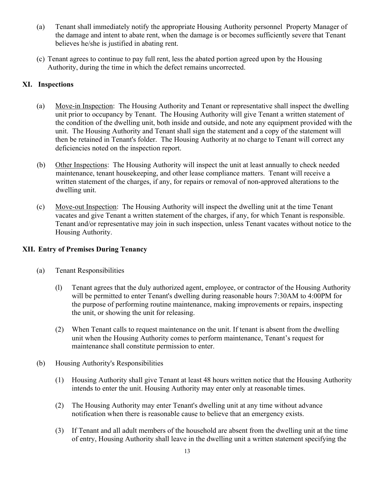- (a) Tenant shall immediately notify the appropriate Housing Authority personnel Property Manager of the damage and intent to abate rent, when the damage is or becomes sufficiently severe that Tenant believes he/she is justified in abating rent.
- (c) Tenant agrees to continue to pay full rent, less the abated portion agreed upon by the Housing Authority, during the time in which the defect remains uncorrected.

### **XI. Inspections**

- (a) Move-in Inspection: The Housing Authority and Tenant or representative shall inspect the dwelling unit prior to occupancy by Tenant. The Housing Authority will give Tenant a written statement of the condition of the dwelling unit, both inside and outside, and note any equipment provided with the unit. The Housing Authority and Tenant shall sign the statement and a copy of the statement will then be retained in Tenant's folder. The Housing Authority at no charge to Tenant will correct any deficiencies noted on the inspection report.
- (b) Other Inspections: The Housing Authority will inspect the unit at least annually to check needed maintenance, tenant housekeeping, and other lease compliance matters. Tenant will receive a written statement of the charges, if any, for repairs or removal of non-approved alterations to the dwelling unit.
- (c) Move-out Inspection: The Housing Authority will inspect the dwelling unit at the time Tenant vacates and give Tenant a written statement of the charges, if any, for which Tenant is responsible. Tenant and/or representative may join in such inspection, unless Tenant vacates without notice to the Housing Authority.

## **XII. Entry of Premises During Tenancy**

- (a) Tenant Responsibilities
	- (l) Tenant agrees that the duly authorized agent, employee, or contractor of the Housing Authority will be permitted to enter Tenant's dwelling during reasonable hours 7:30AM to 4:00PM for the purpose of performing routine maintenance, making improvements or repairs, inspecting the unit, or showing the unit for releasing.
	- (2) When Tenant calls to request maintenance on the unit. If tenant is absent from the dwelling unit when the Housing Authority comes to perform maintenance, Tenant's request for maintenance shall constitute permission to enter.
- (b) Housing Authority's Responsibilities
	- (1) Housing Authority shall give Tenant at least 48 hours written notice that the Housing Authority intends to enter the unit. Housing Authority may enter only at reasonable times.
	- (2) The Housing Authority may enter Tenant's dwelling unit at any time without advance notification when there is reasonable cause to believe that an emergency exists.
	- (3) If Tenant and all adult members of the household are absent from the dwelling unit at the time of entry, Housing Authority shall leave in the dwelling unit a written statement specifying the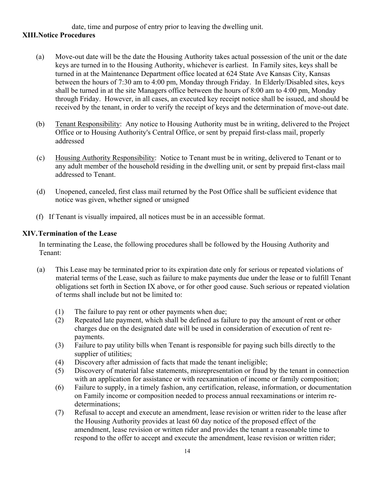date, time and purpose of entry prior to leaving the dwelling unit.

## **XIII.Notice Procedures**

- (a) Move-out date will be the date the Housing Authority takes actual possession of the unit or the date keys are turned in to the Housing Authority, whichever is earliest. In Family sites, keys shall be turned in at the Maintenance Department office located at 624 State Ave Kansas City, Kansas between the hours of 7:30 am to 4:00 pm, Monday through Friday. In Elderly/Disabled sites, keys shall be turned in at the site Managers office between the hours of 8:00 am to 4:00 pm, Monday through Friday. However, in all cases, an executed key receipt notice shall be issued, and should be received by the tenant, in order to verify the receipt of keys and the determination of move-out date.
- (b) Tenant Responsibility: Any notice to Housing Authority must be in writing, delivered to the Project Office or to Housing Authority's Central Office, or sent by prepaid first-class mail, properly addressed
- (c) Housing Authority Responsibility: Notice to Tenant must be in writing, delivered to Tenant or to any adult member of the household residing in the dwelling unit, or sent by prepaid first-class mail addressed to Tenant.
- (d) Unopened, canceled, first class mail returned by the Post Office shall be sufficient evidence that notice was given, whether signed or unsigned
- (f) If Tenant is visually impaired, all notices must be in an accessible format.

### **XIV.Termination of the Lease**

In terminating the Lease, the following procedures shall be followed by the Housing Authority and Tenant:

- (a) This Lease may be terminated prior to its expiration date only for serious or repeated violations of material terms of the Lease, such as failure to make payments due under the lease or to fulfill Tenant obligations set forth in Section IX above, or for other good cause. Such serious or repeated violation of terms shall include but not be limited to:
	- (1) The failure to pay rent or other payments when due;
	- (2) Repeated late payment, which shall be defined as failure to pay the amount of rent or other charges due on the designated date will be used in consideration of execution of rent repayments.
	- (3) Failure to pay utility bills when Tenant is responsible for paying such bills directly to the supplier of utilities;
	- (4) Discovery after admission of facts that made the tenant ineligible;
	- (5) Discovery of material false statements, misrepresentation or fraud by the tenant in connection with an application for assistance or with reexamination of income or family composition;
	- (6) Failure to supply, in a timely fashion, any certification, release, information, or documentation on Family income or composition needed to process annual reexaminations or interim redeterminations;
	- (7) Refusal to accept and execute an amendment, lease revision or written rider to the lease after the Housing Authority provides at least 60 day notice of the proposed effect of the amendment, lease revision or written rider and provides the tenant a reasonable time to respond to the offer to accept and execute the amendment, lease revision or written rider;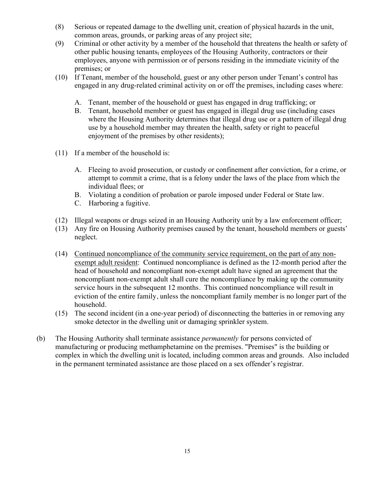- (8) Serious or repeated damage to the dwelling unit, creation of physical hazards in the unit, common areas, grounds, or parking areas of any project site;
- (9) Criminal or other activity by a member of the household that threatens the health or safety of other public housing tenants, employees of the Housing Authority, contractors or their employees, anyone with permission or of persons residing in the immediate vicinity of the premises; or
- (10) If Tenant, member of the household, guest or any other person under Tenant's control has engaged in any drug-related criminal activity on or off the premises, including cases where:
	- A. Tenant, member of the household or guest has engaged in drug trafficking; or
	- B. Tenant, household member or guest has engaged in illegal drug use (including cases where the Housing Authority determines that illegal drug use or a pattern of illegal drug use by a household member may threaten the health, safety or right to peaceful enjoyment of the premises by other residents);
- (11) If a member of the household is:
	- A. Fleeing to avoid prosecution, or custody or confinement after conviction, for a crime, or attempt to commit a crime, that is a felony under the laws of the place from which the individual flees; or
	- B. Violating a condition of probation or parole imposed under Federal or State law.
	- C. Harboring a fugitive.
- (12) Illegal weapons or drugs seized in an Housing Authority unit by a law enforcement officer;
- (13) Any fire on Housing Authority premises caused by the tenant, household members or guests' neglect.
- (14) Continued noncompliance of the community service requirement, on the part of any nonexempt adult resident: Continued noncompliance is defined as the 12-month period after the head of household and noncompliant non-exempt adult have signed an agreement that the noncompliant non-exempt adult shall cure the noncompliance by making up the community service hours in the subsequent 12 months. This continued noncompliance will result in eviction of the entire family, unless the noncompliant family member is no longer part of the household.
- (15) The second incident (in a one-year period) of disconnecting the batteries in or removing any smoke detector in the dwelling unit or damaging sprinkler system.
- (b) The Housing Authority shall terminate assistance *permanently* for persons convicted of manufacturing or producing methamphetamine on the premises. "Premises" is the building or complex in which the dwelling unit is located, including common areas and grounds. Also included in the permanent terminated assistance are those placed on a sex offender's registrar.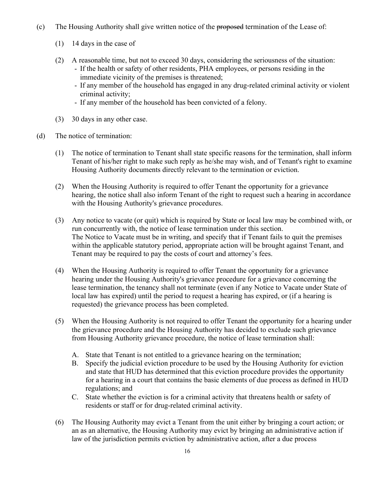- (c) The Housing Authority shall give written notice of the proposed termination of the Lease of:
	- (1) 14 days in the case of
	- (2) A reasonable time, but not to exceed 30 days, considering the seriousness of the situation:
		- If the health or safety of other residents, PHA employees, or persons residing in the immediate vicinity of the premises is threatened;
		- If any member of the household has engaged in any drug-related criminal activity or violent criminal activity;
		- If any member of the household has been convicted of a felony.
	- (3) 30 days in any other case.
- (d) The notice of termination:
	- (1) The notice of termination to Tenant shall state specific reasons for the termination, shall inform Tenant of his/her right to make such reply as he/she may wish, and of Tenant's right to examine Housing Authority documents directly relevant to the termination or eviction.
	- (2) When the Housing Authority is required to offer Tenant the opportunity for a grievance hearing, the notice shall also inform Tenant of the right to request such a hearing in accordance with the Housing Authority's grievance procedures.
	- (3) Any notice to vacate (or quit) which is required by State or local law may be combined with, or run concurrently with, the notice of lease termination under this section. The Notice to Vacate must be in writing, and specify that if Tenant fails to quit the premises within the applicable statutory period, appropriate action will be brought against Tenant, and Tenant may be required to pay the costs of court and attorney's fees.
	- (4) When the Housing Authority is required to offer Tenant the opportunity for a grievance hearing under the Housing Authority's grievance procedure for a grievance concerning the lease termination, the tenancy shall not terminate (even if any Notice to Vacate under State of local law has expired) until the period to request a hearing has expired, or (if a hearing is requested) the grievance process has been completed.
	- (5) When the Housing Authority is not required to offer Tenant the opportunity for a hearing under the grievance procedure and the Housing Authority has decided to exclude such grievance from Housing Authority grievance procedure, the notice of lease termination shall:
		- A. State that Tenant is not entitled to a grievance hearing on the termination;
		- B. Specify the judicial eviction procedure to be used by the Housing Authority for eviction and state that HUD has determined that this eviction procedure provides the opportunity for a hearing in a court that contains the basic elements of due process as defined in HUD regulations; and
		- C. State whether the eviction is for a criminal activity that threatens health or safety of residents or staff or for drug-related criminal activity.
	- (6) The Housing Authority may evict a Tenant from the unit either by bringing a court action; or an as an alternative, the Housing Authority may evict by bringing an administrative action if law of the jurisdiction permits eviction by administrative action, after a due process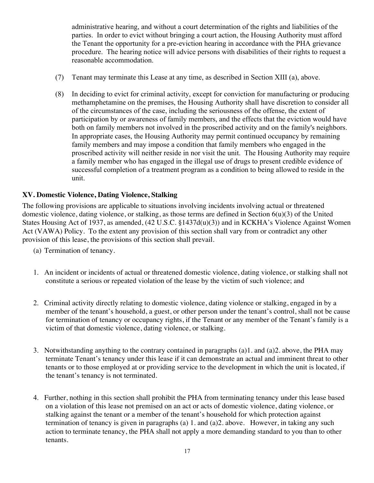administrative hearing, and without a court determination of the rights and liabilities of the parties. In order to evict without bringing a court action, the Housing Authority must afford the Tenant the opportunity for a pre-eviction hearing in accordance with the PHA grievance procedure. The hearing notice will advice persons with disabilities of their rights to request a reasonable accommodation.

- (7) Tenant may terminate this Lease at any time, as described in Section XIII (a), above.
- (8) In deciding to evict for criminal activity, except for conviction for manufacturing or producing methamphetamine on the premises, the Housing Authority shall have discretion to consider all of the circumstances of the case, including the seriousness of the offense, the extent of participation by or awareness of family members, and the effects that the eviction would have both on family members not involved in the proscribed activity and on the family's neighbors. In appropriate cases, the Housing Authority may permit continued occupancy by remaining family members and may impose a condition that family members who engaged in the proscribed activity will neither reside in nor visit the unit. The Housing Authority may require a family member who has engaged in the illegal use of drugs to present credible evidence of successful completion of a treatment program as a condition to being allowed to reside in the unit.

#### **XV. Domestic Violence, Dating Violence, Stalking**

The following provisions are applicable to situations involving incidents involving actual or threatened domestic violence, dating violence, or stalking, as those terms are defined in Section 6(u)(3) of the United States Housing Act of 1937, as amended, (42 U.S.C. §1437d(u)(3)) and in KCKHA's Violence Against Women Act (VAWA) Policy. To the extent any provision of this section shall vary from or contradict any other provision of this lease, the provisions of this section shall prevail.

- (a) Termination of tenancy.
- 1. An incident or incidents of actual or threatened domestic violence, dating violence, or stalking shall not constitute a serious or repeated violation of the lease by the victim of such violence; and
- 2. Criminal activity directly relating to domestic violence, dating violence or stalking, engaged in by a member of the tenant's household, a guest, or other person under the tenant's control, shall not be cause for termination of tenancy or occupancy rights, if the Tenant or any member of the Tenant's family is a victim of that domestic violence, dating violence, or stalking.
- 3. Notwithstanding anything to the contrary contained in paragraphs (a)1. and (a)2. above, the PHA may terminate Tenant's tenancy under this lease if it can demonstrate an actual and imminent threat to other tenants or to those employed at or providing service to the development in which the unit is located, if the tenant's tenancy is not terminated.
- 4. Further, nothing in this section shall prohibit the PHA from terminating tenancy under this lease based on a violation of this lease not premised on an act or acts of domestic violence, dating violence, or stalking against the tenant or a member of the tenant's household for which protection against termination of tenancy is given in paragraphs (a) 1. and (a)2. above. However, in taking any such action to terminate tenancy, the PHA shall not apply a more demanding standard to you than to other tenants.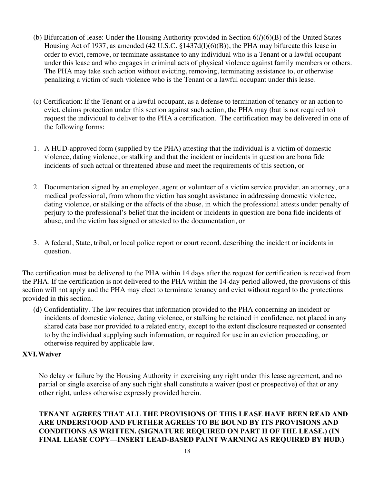- (b) Bifurcation of lease: Under the Housing Authority provided in Section 6(*l*)(6)(B) of the United States Housing Act of 1937, as amended (42 U.S.C. §1437d(l)(6)(B)), the PHA may bifurcate this lease in order to evict, remove, or terminate assistance to any individual who is a Tenant or a lawful occupant under this lease and who engages in criminal acts of physical violence against family members or others. The PHA may take such action without evicting, removing, terminating assistance to, or otherwise penalizing a victim of such violence who is the Tenant or a lawful occupant under this lease.
- (c) Certification: If the Tenant or a lawful occupant, as a defense to termination of tenancy or an action to evict, claims protection under this section against such action, the PHA may (but is not required to) request the individual to deliver to the PHA a certification. The certification may be delivered in one of the following forms:
- 1. A HUD-approved form (supplied by the PHA) attesting that the individual is a victim of domestic violence, dating violence, or stalking and that the incident or incidents in question are bona fide incidents of such actual or threatened abuse and meet the requirements of this section, or
- 2. Documentation signed by an employee, agent or volunteer of a victim service provider, an attorney, or a medical professional, from whom the victim has sought assistance in addressing domestic violence, dating violence, or stalking or the effects of the abuse, in which the professional attests under penalty of perjury to the professional's belief that the incident or incidents in question are bona fide incidents of abuse, and the victim has signed or attested to the documentation, or
- 3. A federal, State, tribal, or local police report or court record, describing the incident or incidents in question.

The certification must be delivered to the PHA within 14 days after the request for certification is received from the PHA. If the certification is not delivered to the PHA within the 14-day period allowed, the provisions of this section will not apply and the PHA may elect to terminate tenancy and evict without regard to the protections provided in this section.

(d) Confidentiality. The law requires that information provided to the PHA concerning an incident or incidents of domestic violence, dating violence, or stalking be retained in confidence, not placed in any shared data base nor provided to a related entity, except to the extent disclosure requested or consented to by the individual supplying such information, or required for use in an eviction proceeding, or otherwise required by applicable law.

### **XVI.Waiver**

No delay or failure by the Housing Authority in exercising any right under this lease agreement, and no partial or single exercise of any such right shall constitute a waiver (post or prospective) of that or any other right, unless otherwise expressly provided herein.

**TENANT AGREES THAT ALL THE PROVISIONS OF THIS LEASE HAVE BEEN READ AND ARE UNDERSTOOD AND FURTHER AGREES TO BE BOUND BY ITS PROVISIONS AND CONDITIONS AS WRITTEN. (SIGNATURE REQUIRED ON PART II OF THE LEASE.) (IN FINAL LEASE COPY—INSERT LEAD-BASED PAINT WARNING AS REQUIRED BY HUD.)**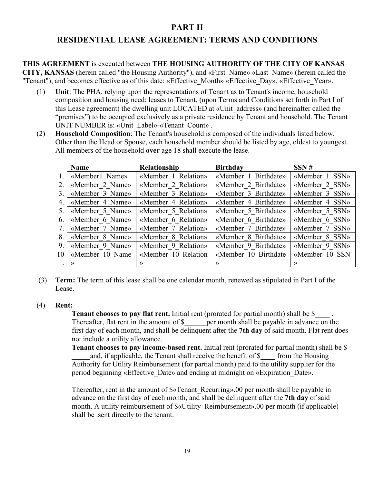# **PART II**

# **RESIDENTIAL LEASE AGREEMENT: TERMS AND CONDITIONS**

**THIS AGREEMENT** is executed between **THE HOUSING AUTHORITY OF THE CITY OF KANSAS CITY, KANSAS** (herein called "the Housing Authority"), and «First\_Name» «Last\_Name» (herein called the "Tenant"), and becomes effective as of this date: «Effective Month» «Effective Day». «Effective Year».

- (1) **Unit**: The PHA, relying upon the representations of Tenant as to Tenant's income, household composition and housing need; leases to Tenant, (upon Terms and Conditions set forth in Part I of this Lease agreement) the dwelling unit LOCATED at «Unit\_address» (and hereinafter called the "premises") to be occupied exclusively as a private residence by Tenant and household. The Tenant UNIT NUMBER is: «Unit\_Label»-«Tenant\_Count» .
- (2) **Household Composition**: The Tenant's household is composed of the individuals listed below. Other than the Head or Spouse, each household member should be listed by age, oldest to youngest. All members of the household **over** age 18 shall execute the lease.

|                     | Name               | <b>Relationship</b> | <b>Birthday</b>      | SSN#           |
|---------------------|--------------------|---------------------|----------------------|----------------|
|                     | 1. «Member1 Name»  | «Member 1 Relation» | «Member 1 Birthdate» | «Member 1 SSN» |
|                     | 2. «Member 2 Name» | «Member 2 Relation» | «Member 2 Birthdate» | «Member 2 SSN» |
|                     | 3. «Member 3 Name» | «Member 3 Relation» | «Member 3 Birthdate» | «Member 3 SSN» |
|                     | 4. «Member 4 Name» | «Member 4 Relation» | «Member 4 Birthdate» | «Member 4 SSN» |
|                     | 5. «Member 5 Name» | «Member 5 Relation» | «Member 5 Birthdate» | «Member 5 SSN» |
|                     | 6. «Member 6 Name» | «Member 6 Relation» | «Member 6 Birthdate» | «Member 6 SSN» |
|                     | 7. «Member 7 Name» | «Member 7 Relation» | «Member 7 Birthdate» | «Member 7 SSN» |
|                     | 8. «Member 8 Name» | «Member 8 Relation» | «Member 8 Birthdate» | «Member 8 SSN» |
|                     | 9. «Member 9 Name» | «Member 9 Relation» | «Member 9 Birthdate» | «Member 9 SSN» |
|                     | 10 «Member 10 Name | «Member 10 Relation | «Member 10 Birthdate | «Member 10 SSN |
| $\cdot \rightarrow$ |                    | $\rightarrow$       | $\rightarrow$        | $\rightarrow$  |

(3) **Term:** The term of this lease shall be one calendar month, renewed as stipulated in Part I of the Lease.

#### (4) **Rent:**

**Tenant chooses to pay flat rent.** Initial rent (prorated for partial month) shall be \$ Thereafter, flat rent in the amount of  $\$  per month shall be payable in advance on the first day of each month, and shall be delinquent after the **7th day** of said month. Flat rent does not include a utility allowance.

 **Tenant chooses to pay income-based rent.** Initial rent (prorated for partial month) shall be \$ and, if applicable, the Tenant shall receive the benefit of \$ \_\_\_ from the Housing Authority for Utility Reimbursement (for partial month) paid to the utility supplier for the period beginning «Effective\_Date» and ending at midnight on «Expiration\_Date».

Thereafter, rent in the amount of  $\sqrt{$\text{m}$  Recurring».00 per month shall be payable in advance on the first day of each month, and shall be delinquent after the **7th day** of said month. A utility reimbursement of  $\&$ «Utility Reimbursement».00 per month (if applicable) shall be .sent directly to the tenant.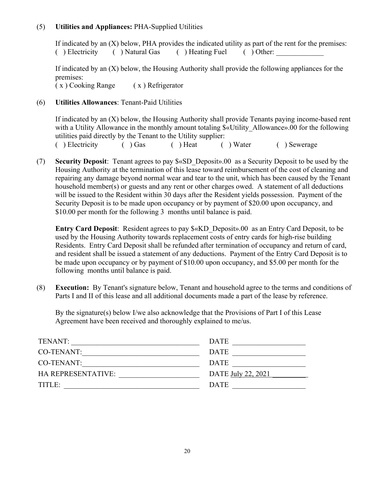### (5) **Utilities and Appliances:** PHA-Supplied Utilities

If indicated by an (X) below, PHA provides the indicated utility as part of the rent for the premises: ( ) Electricity ( ) Natural Gas ( ) Heating Fuel ( ) Other:

If indicated by an (X) below, the Housing Authority shall provide the following appliances for the premises:

( x ) Cooking Range ( x ) Refrigerator

### (6) **Utilities Allowances**: Tenant-Paid Utilities

If indicated by an (X) below, the Housing Authority shall provide Tenants paying income-based rent with a Utility Allowance in the monthly amount totaling  $\&\&$  Utility Allowance».00 for the following utilities paid directly by the Tenant to the Utility supplier:

( ) Electricity ( ) Gas ( ) Heat ( ) Water ( ) Sewerage

(7) **Security Deposit**: Tenant agrees to pay \$«SD\_Deposit».00 as a Security Deposit to be used by the Housing Authority at the termination of this lease toward reimbursement of the cost of cleaning and repairing any damage beyond normal wear and tear to the unit, which has been caused by the Tenant household member(s) or guests and any rent or other charges owed. A statement of all deductions will be issued to the Resident within 30 days after the Resident yields possession. Payment of the Security Deposit is to be made upon occupancy or by payment of \$20.00 upon occupancy, and \$10.00 per month for the following 3 months until balance is paid.

**Entry Card Deposit**: Resident agrees to pay \$«KD\_Deposit».00 as an Entry Card Deposit, to be used by the Housing Authority towards replacement costs of entry cards for high-rise building Residents. Entry Card Deposit shall be refunded after termination of occupancy and return of card, and resident shall be issued a statement of any deductions. Payment of the Entry Card Deposit is to be made upon occupancy or by payment of \$10.00 upon occupancy, and \$5.00 per month for the following months until balance is paid.

(8) **Execution:** By Tenant's signature below, Tenant and household agree to the terms and conditions of Parts I and II of this lease and all additional documents made a part of the lease by reference.

By the signature(s) below I/we also acknowledge that the Provisions of Part I of this Lease Agreement have been received and thoroughly explained to me/us.

| TENANT:                   | <b>DATE</b>        |
|---------------------------|--------------------|
| CO-TENANT:                | <b>DATE</b>        |
| CO-TENANT:                | <b>DATE</b>        |
| <b>HA REPRESENTATIVE:</b> | DATE July 22, 2021 |
| TITLE:                    | <b>DATE</b>        |